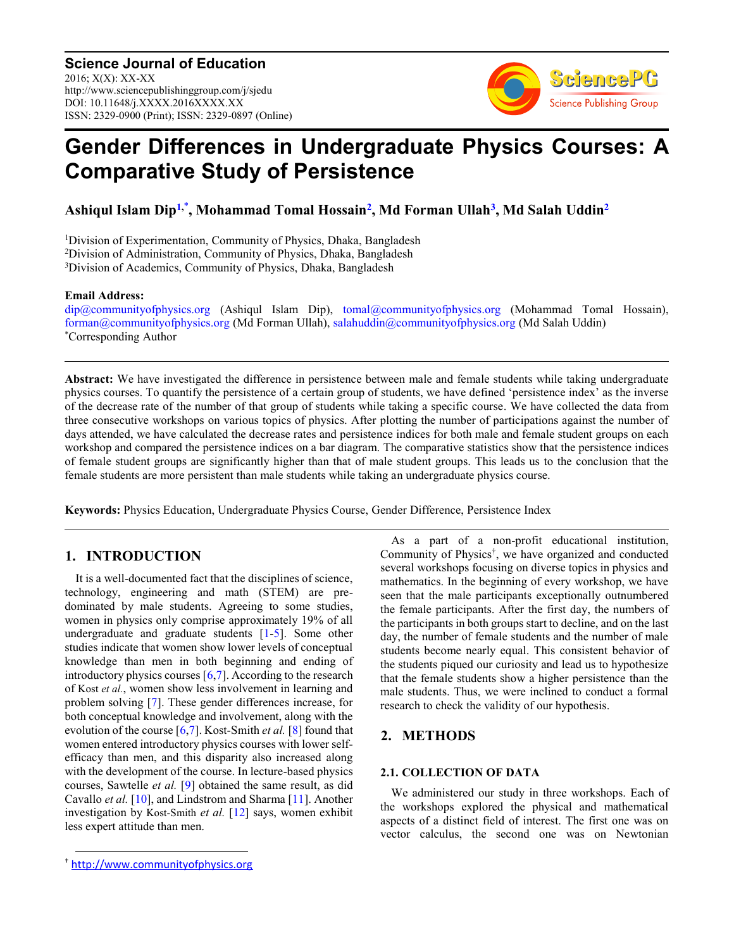**Science Journal of Education** 2016; X(X): XX-XX http://www.sciencepublishinggroup.com/j/sjedu DOI: 10.11648/j.XXXX.2016XXXX.XX ISSN: 2329-0900 (Print); ISSN: 2329-0897 (Online)



# **Gender Differences in Undergraduate Physics Courses: A Comparative Study of Persistence**

**Ashiqul Islam Dip[1,](#page-0-0)**[\\*](#page-0-1) **, Mohammad Tomal Hossain[2](#page-0-2) , Md Forman Ullah[3](#page-0-3) , Md Salah Uddin[2](#page-0-2)**

<span id="page-0-3"></span><span id="page-0-2"></span><span id="page-0-0"></span><sup>1</sup>Division of Experimentation, Community of Physics, Dhaka, Bangladesh <sup>2</sup>Division of Administration, Community of Physics, Dhaka, Bangladesh <sup>3</sup>Division of Academics, Community of Physics, Dhaka, Bangladesh

#### **Email Address:**

<span id="page-0-1"></span>[dip@communityofphysics.org](mailto:dip@communityofphysics.org) (Ashiqul Islam Dip), [tomal@communityofphysics.org](mailto:tomal@communityofphysics.org) (Mohammad Tomal Hossain), [forman@communityofphysics.org](mailto:forman@communityofphysics.org) (Md Forman Ullah), [salahuddin@communityofphysics.org](mailto:salahuddin@communityofphysics.org) (Md Salah Uddin) \*Corresponding Author

**Abstract:** We have investigated the difference in persistence between male and female students while taking undergraduate physics courses. To quantify the persistence of a certain group of students, we have defined 'persistence index' as the inverse of the decrease rate of the number of that group of students while taking a specific course. We have collected the data from three consecutive workshops on various topics of physics. After plotting the number of participations against the number of days attended, we have calculated the decrease rates and persistence indices for both male and female student groups on each workshop and compared the persistence indices on a bar diagram. The comparative statistics show that the persistence indices of female student groups are significantly higher than that of male student groups. This leads us to the conclusion that the female students are more persistent than male students while taking an undergraduate physics course.

**Keywords:** Physics Education, Undergraduate Physics Course, Gender Difference, Persistence Index

# **1. INTRODUCTION**

It is a well-documented fact that the disciplines of science, technology, engineering and math (STEM) are predominated by male students. Agreeing to some studies, women in physics only comprise approximately 19% of all undergraduate and graduate students [\[1](#page-4-0)[-5\]](#page-4-1). Some other studies indicate that women show lower levels of conceptual knowledge than men in both beginning and ending of introductory physics courses  $[6,7]$  $[6,7]$ . According to the research of Kost *et al.*, women show less involvement in learning and problem solving [\[7\]](#page-4-3). These gender differences increase, for both conceptual knowledge and involvement, along with the evolution of the course [\[6](#page-4-2)[,7\]](#page-4-3). Kost-Smith *et al.* [\[8\]](#page-4-4) found that women entered introductory physics courses with lower selfefficacy than men, and this disparity also increased along with the development of the course. In lecture-based physics courses, Sawtelle *et al.* [\[9\]](#page-4-5) obtained the same result, as did Cavallo *et al.* [\[10\]](#page-4-6), and Lindstrom and Sharma [\[11\]](#page-4-7). Another investigation by Kost-Smith *et al.* [\[12\]](#page-4-8) says, women exhibit less expert attitude than men.

As a part of a non-profit educational institution, Community of Physics† , we have organized and conducted several workshops focusing on diverse topics in physics and mathematics. In the beginning of every workshop, we have seen that the male participants exceptionally outnumbered the female participants. After the first day, the numbers of the participants in both groups start to decline, and on the last day, the number of female students and the number of male students become nearly equal. This consistent behavior of the students piqued our curiosity and lead us to hypothesize that the female students show a higher persistence than the male students. Thus, we were inclined to conduct a formal research to check the validity of our hypothesis.

## **2. METHODS**

#### **2.1. COLLECTION OF DATA**

We administered our study in three workshops. Each of the workshops explored the physical and mathematical aspects of a distinct field of interest. The first one was on vector calculus, the second one was on Newtonian

 $\overline{a}$ 

<sup>†</sup> [http://www.communityofphysics.org](http://www.communityofphysics.org/)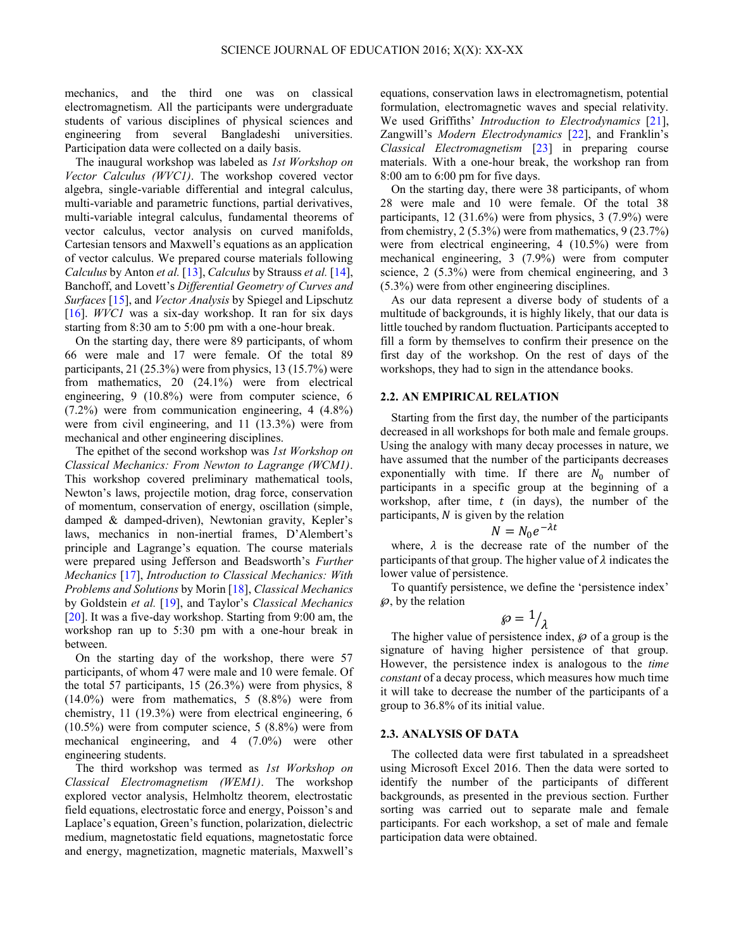mechanics, and the third one was on classical electromagnetism. All the participants were undergraduate students of various disciplines of physical sciences and engineering from several Bangladeshi universities. Participation data were collected on a daily basis.

The inaugural workshop was labeled as *1st Workshop on Vector Calculus (WVC1)*. The workshop covered vector algebra, single-variable differential and integral calculus, multi-variable and parametric functions, partial derivatives, multi-variable integral calculus, fundamental theorems of vector calculus, vector analysis on curved manifolds, Cartesian tensors and Maxwell's equations as an application of vector calculus. We prepared course materials following *Calculus* by Anton *et al.* [\[13\]](#page-4-9), *Calculus* by Strauss *et al.* [\[14\]](#page-4-10), Banchoff, and Lovett's *Differential Geometry of Curves and Surfaces* [\[15\]](#page-4-11), and *Vector Analysis* by Spiegel and Lipschutz [\[16\]](#page-5-0). *WVC1* was a six-day workshop. It ran for six days starting from 8:30 am to 5:00 pm with a one-hour break.

On the starting day, there were 89 participants, of whom 66 were male and 17 were female. Of the total 89 participants, 21 (25.3%) were from physics, 13 (15.7%) were from mathematics, 20 (24.1%) were from electrical engineering, 9 (10.8%) were from computer science, 6 (7.2%) were from communication engineering, 4 (4.8%) were from civil engineering, and 11 (13.3%) were from mechanical and other engineering disciplines.

The epithet of the second workshop was *1st Workshop on Classical Mechanics: From Newton to Lagrange (WCM1)*. This workshop covered preliminary mathematical tools, Newton's laws, projectile motion, drag force, conservation of momentum, conservation of energy, oscillation (simple, damped & damped-driven), Newtonian gravity, Kepler's laws, mechanics in non-inertial frames, D'Alembert's principle and Lagrange's equation. The course materials were prepared using Jefferson and Beadsworth's *Further Mechanics* [\[17\]](#page-5-1), *Introduction to Classical Mechanics: With Problems and Solutions* by Morin [\[18\]](#page-5-2), *Classical Mechanics* by Goldstein *et al.* [\[19](#page-5-3)], and Taylor's *Classical Mechanics* [\[20\]](#page-5-4). It was a five-day workshop. Starting from 9:00 am, the workshop ran up to 5:30 pm with a one-hour break in between.

On the starting day of the workshop, there were 57 participants, of whom 47 were male and 10 were female. Of the total 57 participants, 15 (26.3%) were from physics, 8 (14.0%) were from mathematics, 5 (8.8%) were from chemistry, 11 (19.3%) were from electrical engineering, 6 (10.5%) were from computer science, 5 (8.8%) were from mechanical engineering, and 4 (7.0%) were other engineering students.

The third workshop was termed as *1st Workshop on Classical Electromagnetism (WEM1)*. The workshop explored vector analysis, Helmholtz theorem, electrostatic field equations, electrostatic force and energy, Poisson's and Laplace's equation, Green's function, polarization, dielectric medium, magnetostatic field equations, magnetostatic force and energy, magnetization, magnetic materials, Maxwell's

equations, conservation laws in electromagnetism, potential formulation, electromagnetic waves and special relativity. We used Griffiths' *Introduction to Electrodynamics* [\[21\]](#page-5-5), Zangwill's *Modern Electrodynamics* [\[22](#page-5-6)], and Franklin's *Classical Electromagnetism* [\[23\]](#page-5-7) in preparing course materials. With a one-hour break, the workshop ran from 8:00 am to 6:00 pm for five days.

On the starting day, there were 38 participants, of whom 28 were male and 10 were female. Of the total 38 participants, 12 (31.6%) were from physics, 3 (7.9%) were from chemistry, 2 (5.3%) were from mathematics, 9 (23.7%) were from electrical engineering, 4 (10.5%) were from mechanical engineering, 3 (7.9%) were from computer science, 2 (5.3%) were from chemical engineering, and 3 (5.3%) were from other engineering disciplines.

As our data represent a diverse body of students of a multitude of backgrounds, it is highly likely, that our data is little touched by random fluctuation. Participants accepted to fill a form by themselves to confirm their presence on the first day of the workshop. On the rest of days of the workshops, they had to sign in the attendance books.

### **2.2. AN EMPIRICAL RELATION**

Starting from the first day, the number of the participants decreased in all workshops for both male and female groups. Using the analogy with many decay processes in nature, we have assumed that the number of the participants decreases exponentially with time. If there are  $N_0$  number of participants in a specific group at the beginning of a workshop, after time,  $t$  (in days), the number of the participants,  $N$  is given by the relation

$$
N = N_0 e^{-\lambda t}
$$

where,  $\lambda$  is the decrease rate of the number of the participants of that group. The higher value of  $\lambda$  indicates the lower value of persistence.

To quantify persistence, we define the 'persistence index'  $\wp$ , by the relation

$$
\wp = \frac{1}{\lambda}
$$

The higher value of persistence index,  $\varphi$  of a group is the signature of having higher persistence of that group. However, the persistence index is analogous to the *time constant* of a decay process, which measures how much time it will take to decrease the number of the participants of a group to 36.8% of its initial value.

#### **2.3. ANALYSIS OF DATA**

The collected data were first tabulated in a spreadsheet using Microsoft Excel 2016. Then the data were sorted to identify the number of the participants of different backgrounds, as presented in the previous section. Further sorting was carried out to separate male and female participants. For each workshop, a set of male and female participation data were obtained.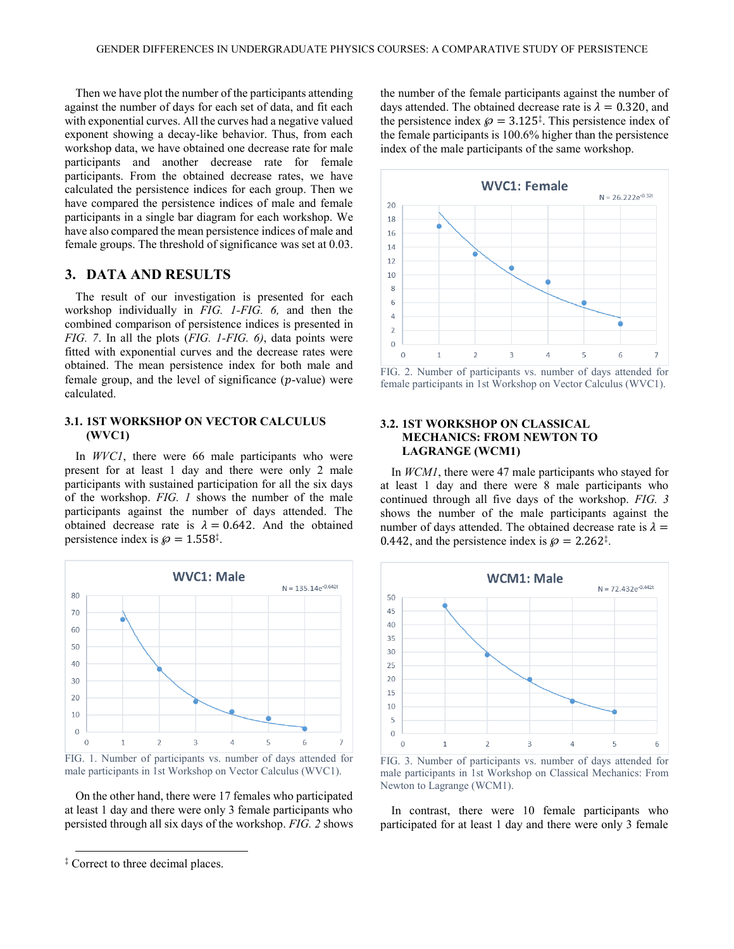Then we have plot the number of the participants attending against the number of days for each set of data, and fit each with exponential curves. All the curves had a negative valued exponent showing a decay-like behavior. Thus, from each workshop data, we have obtained one decrease rate for male participants and another decrease rate for female participants. From the obtained decrease rates, we have calculated the persistence indices for each group. Then we have compared the persistence indices of male and female participants in a single bar diagram for each workshop. We have also compared the mean persistence indices of male and female groups. The threshold of significance was set at 0.03.

# **3. DATA AND RESULTS**

The result of our investigation is presented for each workshop individually in *FIG. 1-FIG. 6,* and then the combined comparison of persistence indices is presented in *FIG. 7*. In all the plots (*FIG. 1-FIG. 6)*, data points were fitted with exponential curves and the decrease rates were obtained. The mean persistence index for both male and female group, and the level of significance  $(p$ -value) were calculated.

### **3.1. 1ST WORKSHOP ON VECTOR CALCULUS (WVC1)**

In *WVC1*, there were 66 male participants who were present for at least 1 day and there were only 2 male participants with sustained participation for all the six days of the workshop. *FIG. 1* shows the number of the male participants against the number of days attended. The obtained decrease rate is  $\lambda = 0.642$ . And the obtained persistence index is  $\wp = 1.558^{\ddagger}$ .

<span id="page-2-1"></span>

FIG. 1. Number of participants vs. number of days attended for male participants in 1st Workshop on Vector Calculus (WVC1).

On the other hand, there were 17 females who participated at least 1 day and there were only 3 female participants who persisted through all six days of the workshop. *FIG. 2* shows

 $\overline{a}$ 

the number of the female participants against the number of days attended. The obtained decrease rate is  $\lambda = 0.320$ , and the persistence index  $\wp = 3.125^{\ddagger}$  $\wp = 3.125^{\ddagger}$  $\wp = 3.125^{\ddagger}$ . This persistence index of the female participants is 100.6% higher than the persistence index of the male participants of the same workshop.



FIG. 2. Number of participants vs. number of days attended for female participants in 1st Workshop on Vector Calculus (WVC1).

#### **3.2. 1ST WORKSHOP ON CLASSICAL MECHANICS: FROM NEWTON TO LAGRANGE (WCM1)**

In *WCM1*, there were 47 male participants who stayed for at least 1 day and there were 8 male participants who continued through all five days of the workshop. *FIG. 3* shows the number of the male participants against the number of days attended. The obtained decrease rate is  $\lambda =$ 0[.](#page-2-1)442, and the persistence index is  $\wp = 2.262^{\ddagger}$ .

<span id="page-2-0"></span>

FIG. 3. Number of participants vs. number of days attended for male participants in 1st Workshop on Classical Mechanics: From Newton to Lagrange (WCM1).

In contrast, there were 10 female participants who participated for at least 1 day and there were only 3 female

<sup>‡</sup> Correct to three decimal places.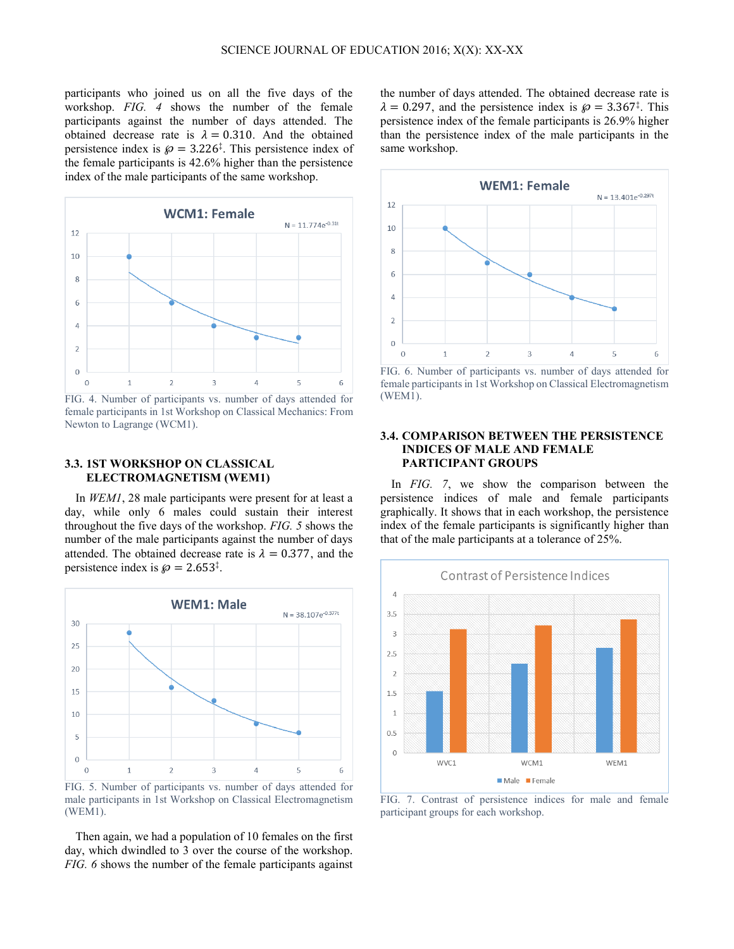participants who joined us on all the five days of the workshop. *FIG. 4* shows the number of the female participants against the number of days attended. The obtained decrease rate is  $\lambda = 0.310$ . And the obtained persistence index is  $\wp = 3.226^{\ddagger}$  $\wp = 3.226^{\ddagger}$  $\wp = 3.226^{\ddagger}$ . This persistence index of the female participants is 42.6% higher than the persistence index of the male participants of the same workshop.



FIG. 4. Number of participants vs. number of days attended for female participants in 1st Workshop on Classical Mechanics: From Newton to Lagrange (WCM1).

### **3.3. 1ST WORKSHOP ON CLASSICAL ELECTROMAGNETISM (WEM1)**

In *WEM1*, 28 male participants were present for at least a day, while only 6 males could sustain their interest throughout the five days of the workshop. *FIG. 5* shows the number of the male participants against the number of days attended. The obtained decrease rate is  $\lambda = 0.377$ , and the persistence index is  $\wp = 2.653^{\ddagger}$ .



male participants in 1st Workshop on Classical Electromagnetism (WEM1).

Then again, we had a population of 10 females on the first day, which dwindled to 3 over the course of the workshop. *FIG. 6* shows the number of the female participants against

the number of days attended. The obtained decrease rate is  $\lambda = 0.297$  $\lambda = 0.297$ , and the persistence index is  $\wp = 3.367^{\ddagger}$ . This persistence index of the female participants is 26.9% higher than the persistence index of the male participants in the same workshop.



FIG. 6. Number of participants vs. number of days attended for female participants in 1st Workshop on Classical Electromagnetism (WEM1).

#### **3.4. COMPARISON BETWEEN THE PERSISTENCE INDICES OF MALE AND FEMALE PARTICIPANT GROUPS**

In *FIG. 7*, we show the comparison between the persistence indices of male and female participants graphically. It shows that in each workshop, the persistence index of the female participants is significantly higher than that of the male participants at a tolerance of 25%.



FIG. 7. Contrast of persistence indices for male and female participant groups for each workshop.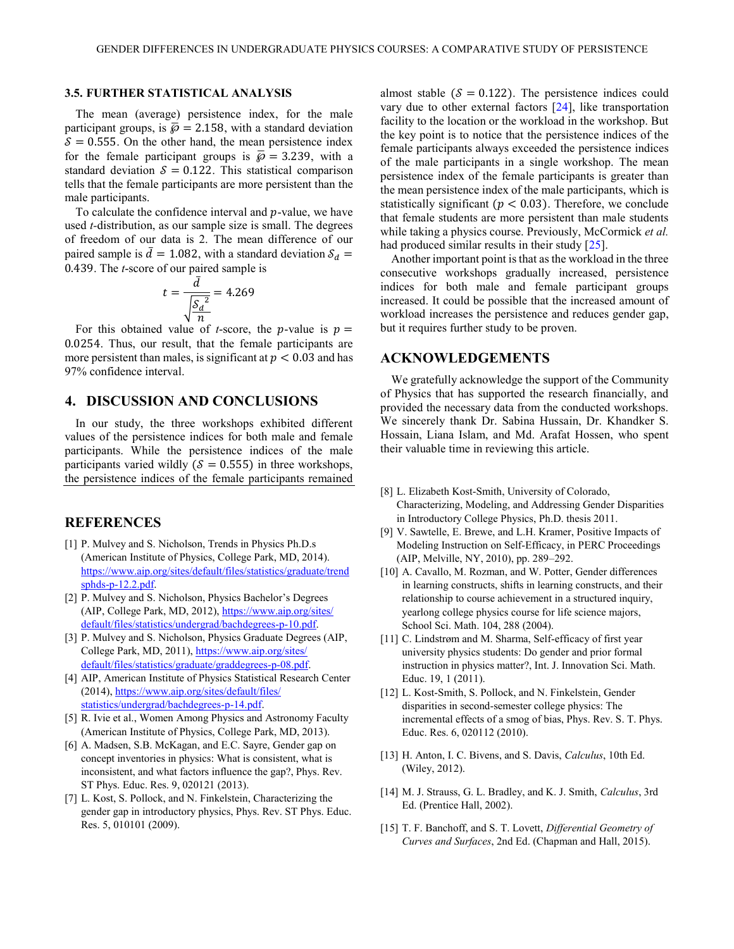#### **3.5. FURTHER STATISTICAL ANALYSIS**

The mean (average) persistence index, for the male participant groups, is  $\bar{\wp} = 2.158$ , with a standard deviation  $\delta$  = 0.555. On the other hand, the mean persistence index for the female participant groups is  $\bar{\wp} = 3.239$ , with a standard deviation  $\delta = 0.122$ . This statistical comparison tells that the female participants are more persistent than the male participants.

To calculate the confidence interval and  $p$ -value, we have used *t-*distribution, as our sample size is small. The degrees of freedom of our data is 2. The mean difference of our paired sample is  $\bar{d} = 1.082$ , with a standard deviation  $S_d =$ 0.439. The *t*-score of our paired sample is

$$
t = \frac{\bar{d}}{\sqrt{\frac{\bar{S_d}^2}{n}}} = 4.269
$$

For this obtained value of *t*-score, the *p*-value is  $p =$ 0.0254. Thus, our result, that the female participants are more persistent than males, is significant at  $p < 0.03$  and has 97% confidence interval.

### **4. DISCUSSION AND CONCLUSIONS**

In our study, the three workshops exhibited different values of the persistence indices for both male and female participants. While the persistence indices of the male participants varied wildly ( $\mathcal{S} = 0.555$ ) in three workshops, the persistence indices of the female participants remained

# **REFERENCES**

- <span id="page-4-0"></span>[1] P. Mulvey and S. Nicholson, Trends in Physics Ph.D.s (American Institute of Physics, College Park, MD, 2014). [https://www.aip.org/sites/default/files/statistics/graduate/trend](https://www.aip.org/sites/default/files/statistics/graduate/trendsphds-p-12.2.pdf) [sphds-p-12.2.pdf.](https://www.aip.org/sites/default/files/statistics/graduate/trendsphds-p-12.2.pdf)
- [2] P. Mulvey and S. Nicholson, Physics Bachelor's Degrees (AIP, College Park, MD, 2012), [https://www.aip.org/sites/](https://www.aip.org/sites/%20default/files/statistics/undergrad/bachdegrees‑p‑10.pdf)  [default/files/statistics/undergrad/bachdegrees‑p‑10.pdf](https://www.aip.org/sites/%20default/files/statistics/undergrad/bachdegrees‑p‑10.pdf).
- [3] P. Mulvey and S. Nicholson, Physics Graduate Degrees (AIP, College Park, MD, 2011)[, https://www.aip.org/sites/](https://www.aip.org/sites/%20default/files/statistics/graduate/graddegrees‑p‑08.pdf)  [default/files/statistics/graduate/graddegrees‑p‑08.pdf](https://www.aip.org/sites/%20default/files/statistics/graduate/graddegrees‑p‑08.pdf).
- [4] AIP, American Institute of Physics Statistical Research Center (2014), [https://www.aip.org/sites/default/files/](https://www.aip.org/sites/default/files/%20statistics/undergrad/bachdegrees‑p‑14.pdf)  [statistics/undergrad/bachdegrees‑p‑14.pdf](https://www.aip.org/sites/default/files/%20statistics/undergrad/bachdegrees‑p‑14.pdf).
- <span id="page-4-1"></span>[5] R. Ivie et al., Women Among Physics and Astronomy Faculty (American Institute of Physics, College Park, MD, 2013).
- <span id="page-4-2"></span>[6] A. Madsen, S.B. McKagan, and E.C. Sayre, Gender gap on concept inventories in physics: What is consistent, what is inconsistent, and what factors influence the gap?, Phys. Rev. ST Phys. Educ. Res. 9, 020121 (2013).
- <span id="page-4-3"></span>[7] L. Kost, S. Pollock, and N. Finkelstein, Characterizing the gender gap in introductory physics, Phys. Rev. ST Phys. Educ. Res. 5, 010101 (2009).

almost stable ( $\delta = 0.122$ ). The persistence indices could vary due to other external factors [\[24\]](#page-5-8), like transportation facility to the location or the workload in the workshop. But the key point is to notice that the persistence indices of the female participants always exceeded the persistence indices of the male participants in a single workshop. The mean persistence index of the female participants is greater than the mean persistence index of the male participants, which is statistically significant ( $p < 0.03$ ). Therefore, we conclude that female students are more persistent than male students while taking a physics course. Previously, McCormick *et al.* had produced similar results in their study [\[25\]](#page-5-9).

Another important point is that as the workload in the three consecutive workshops gradually increased, persistence indices for both male and female participant groups increased. It could be possible that the increased amount of workload increases the persistence and reduces gender gap, but it requires further study to be proven.

#### **ACKNOWLEDGEMENTS**

We gratefully acknowledge the support of the Community of Physics that has supported the research financially, and provided the necessary data from the conducted workshops. We sincerely thank Dr. Sabina Hussain, Dr. Khandker S. Hossain, Liana Islam, and Md. Arafat Hossen, who spent their valuable time in reviewing this article.

- <span id="page-4-4"></span>[8] L. Elizabeth Kost-Smith, University of Colorado, Characterizing, Modeling, and Addressing Gender Disparities in Introductory College Physics, Ph.D. thesis 2011.
- <span id="page-4-5"></span>[9] V. Sawtelle, E. Brewe, and L.H. Kramer, Positive Impacts of Modeling Instruction on Self-Efficacy, in PERC Proceedings (AIP, Melville, NY, 2010), pp. 289–292.
- <span id="page-4-6"></span>[10] A. Cavallo, M. Rozman, and W. Potter, Gender differences in learning constructs, shifts in learning constructs, and their relationship to course achievement in a structured inquiry, yearlong college physics course for life science majors, School Sci. Math. 104, 288 (2004).
- <span id="page-4-7"></span>[11] C. Lindstrøm and M. Sharma, Self-efficacy of first year university physics students: Do gender and prior formal instruction in physics matter?, Int. J. Innovation Sci. Math. Educ. 19, 1 (2011).
- <span id="page-4-8"></span>[12] L. Kost-Smith, S. Pollock, and N. Finkelstein, Gender disparities in second-semester college physics: The incremental effects of a smog of bias, Phys. Rev. S. T. Phys. Educ. Res. 6, 020112 (2010).
- <span id="page-4-9"></span>[13] H. Anton, I. C. Bivens, and S. Davis, *Calculus*, 10th Ed. (Wiley, 2012).
- <span id="page-4-10"></span>[14] M. J. Strauss, G. L. Bradley, and K. J. Smith, *Calculus*, 3rd Ed. (Prentice Hall, 2002).
- <span id="page-4-11"></span>[15] T. F. Banchoff, and S. T. Lovett, *Differential Geometry of Curves and Surfaces*, 2nd Ed. (Chapman and Hall, 2015).